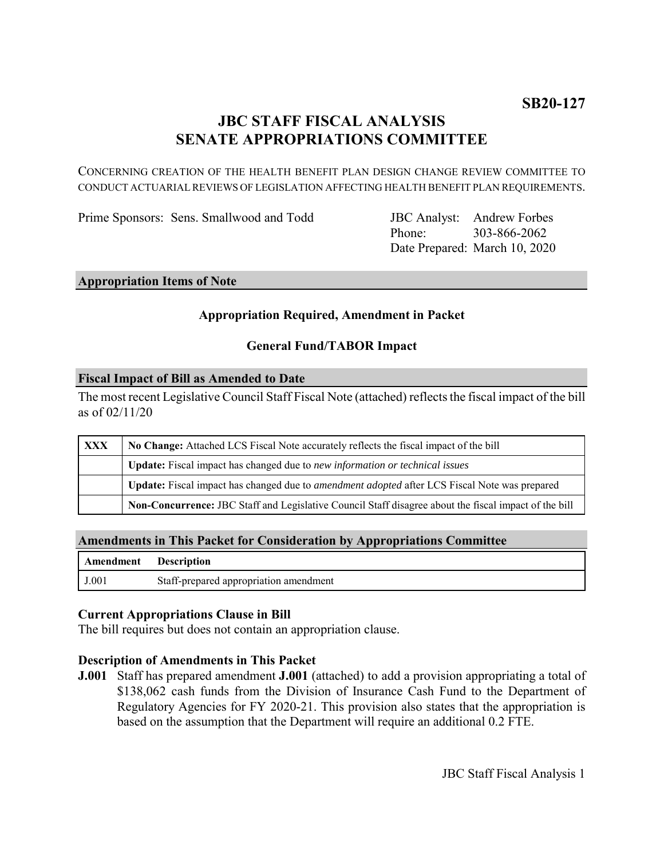## **JBC STAFF FISCAL ANALYSIS SENATE APPROPRIATIONS COMMITTEE**

CONCERNING CREATION OF THE HEALTH BENEFIT PLAN DESIGN CHANGE REVIEW COMMITTEE TO CONDUCT ACTUARIAL REVIEWS OF LEGISLATION AFFECTING HEALTH BENEFIT PLAN REQUIREMENTS.

Prime Sponsors: Sens. Smallwood and Todd

Phone: Date Prepared: March 10, 2020 JBC Analyst: Andrew Forbes 303-866-2062

### **Appropriation Items of Note**

### **Appropriation Required, Amendment in Packet**

### **General Fund/TABOR Impact**

#### **Fiscal Impact of Bill as Amended to Date**

The most recent Legislative Council Staff Fiscal Note (attached) reflects the fiscal impact of the bill as of 02/11/20

| <b>XXX</b> | No Change: Attached LCS Fiscal Note accurately reflects the fiscal impact of the bill                 |
|------------|-------------------------------------------------------------------------------------------------------|
|            | Update: Fiscal impact has changed due to new information or technical issues                          |
|            | Update: Fiscal impact has changed due to <i>amendment adopted</i> after LCS Fiscal Note was prepared  |
|            | Non-Concurrence: JBC Staff and Legislative Council Staff disagree about the fiscal impact of the bill |

#### **Amendments in This Packet for Consideration by Appropriations Committee**

| <b>Amendment</b> Description |                                        |
|------------------------------|----------------------------------------|
| J.001                        | Staff-prepared appropriation amendment |

#### **Current Appropriations Clause in Bill**

The bill requires but does not contain an appropriation clause.

#### **Description of Amendments in This Packet**

**J.001** Staff has prepared amendment **J.001** (attached) to add a provision appropriating a total of \$138,062 cash funds from the Division of Insurance Cash Fund to the Department of Regulatory Agencies for FY 2020-21. This provision also states that the appropriation is based on the assumption that the Department will require an additional 0.2 FTE.